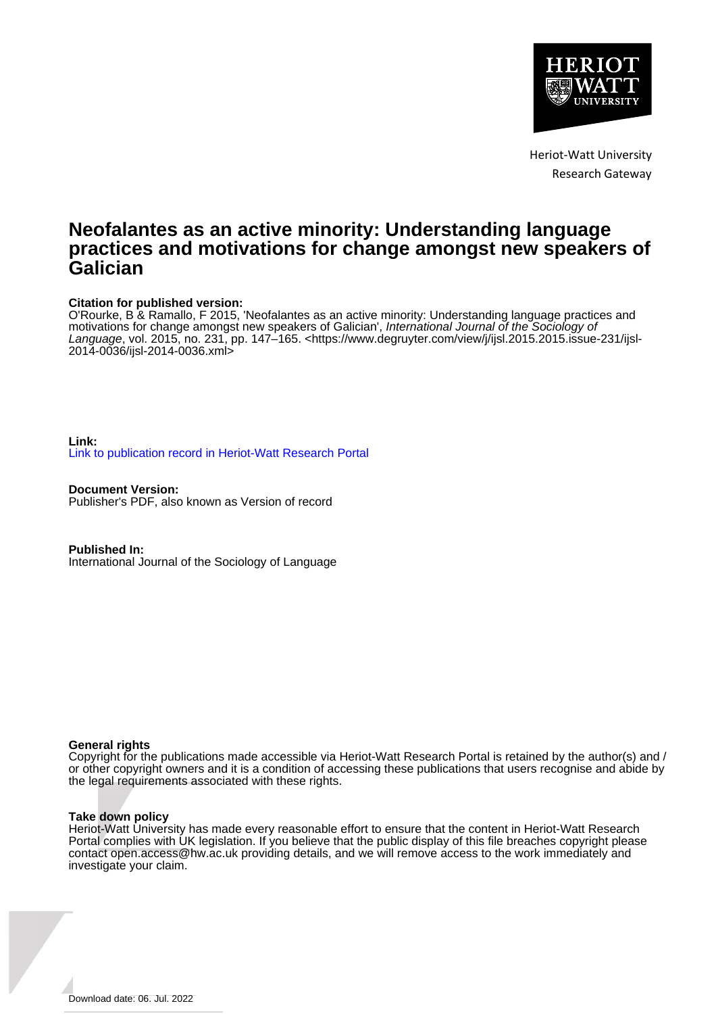

Heriot-Watt University Research Gateway

# **Neofalantes as an active minority: Understanding language practices and motivations for change amongst new speakers of Galician**

### **Citation for published version:**

O'Rourke, B & Ramallo, F 2015, 'Neofalantes as an active minority: Understanding language practices and motivations for change amongst new speakers of Galician', International Journal of the Sociology of Language, vol. 2015, no. 231, pp. 147–165. [<https://www.degruyter.com/view/j/ijsl.2015.2015.issue-231/ijsl-](https://www.degruyter.com/view/j/ijsl.2015.2015.issue-231/ijsl-2014-0036/ijsl-2014-0036.xml)[2014-0036/ijsl-2014-0036.xml>](https://www.degruyter.com/view/j/ijsl.2015.2015.issue-231/ijsl-2014-0036/ijsl-2014-0036.xml)

### **Link:** [Link to publication record in Heriot-Watt Research Portal](https://researchportal.hw.ac.uk/en/publications/75c3a788-c99e-4bdb-bf83-bd48082b99a7)

**Document Version:** Publisher's PDF, also known as Version of record

**Published In:** International Journal of the Sociology of Language

### **General rights**

Copyright for the publications made accessible via Heriot-Watt Research Portal is retained by the author(s) and / or other copyright owners and it is a condition of accessing these publications that users recognise and abide by the legal requirements associated with these rights.

#### **Take down policy**

Heriot-Watt University has made every reasonable effort to ensure that the content in Heriot-Watt Research Portal complies with UK legislation. If you believe that the public display of this file breaches copyright please contact open.access@hw.ac.uk providing details, and we will remove access to the work immediately and investigate your claim.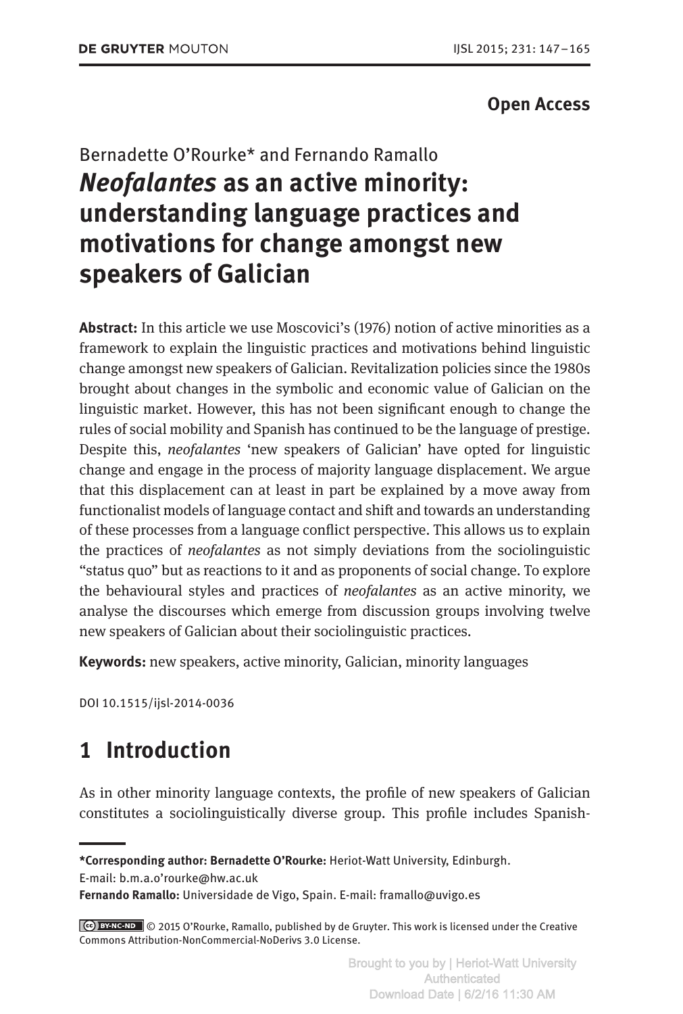### **Open Access**

# Bernadette O'Rourke\* and Fernando Ramallo *Neofalantes* **as an active minority: understanding language practices and motivations for change amongst new speakers of Galician**

**Abstract:** In this article we use Moscovici's (1976) notion of active minorities as a framework to explain the linguistic practices and motivations behind linguistic change amongst new speakers of Galician. Revitalization policies since the 1980s brought about changes in the symbolic and economic value of Galician on the linguistic market. However, this has not been significant enough to change the rules of social mobility and Spanish has continued to be the language of prestige. Despite this, *neofalantes* 'new speakers of Galician' have opted for linguistic change and engage in the process of majority language displacement. We argue that this displacement can at least in part be explained by a move away from functionalist models of language contact and shift and towards an understanding of these processes from a language conflict perspective. This allows us to explain the practices of *neofalantes* as not simply deviations from the sociolinguistic "status quo" but as reactions to it and as proponents of social change. To explore the behavioural styles and practices of *neofalantes* as an active minority, we analyse the discourses which emerge from discussion groups involving twelve new speakers of Galician about their sociolinguistic practices.

**Keywords:** new speakers, active minority, Galician, minority languages

DOI 10.1515/ijsl-2014-0036

# **1 Introduction**

As in other minority language contexts, the profile of new speakers of Galician constitutes a sociolinguistically diverse group. This profile includes Spanish-

E-mail: b.m.a.o'rourke@hw.ac.uk

**Fernando Ramallo:** Universidade de Vigo, Spain. E-mail: framallo@uvigo.es

**<sup>\*</sup>Corresponding author: Bernadette O'Rourke:** Heriot-Watt University, Edinburgh.

 <sup>© 2015</sup> O'Rourke, Ramallo, published by de Gruyter. This work is licensed under the Creative Commons Attribution-NonCommercial-NoDerivs 3.0 License.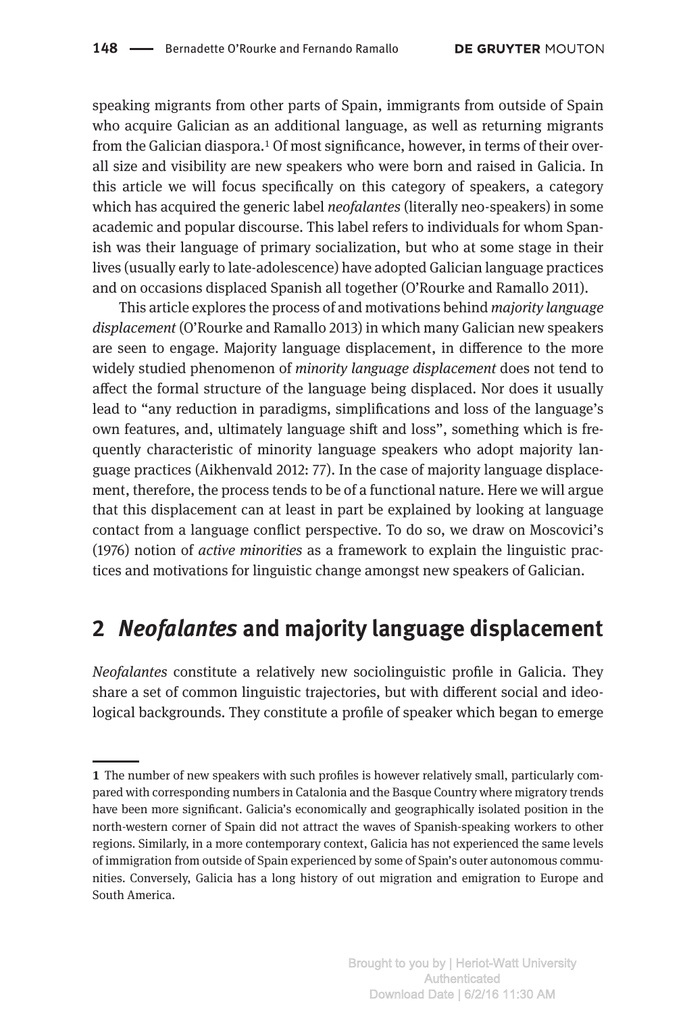speaking migrants from other parts of Spain, immigrants from outside of Spain who acquire Galician as an additional language, as well as returning migrants from the Galician diaspora.1 Of most significance, however, in terms of their overall size and visibility are new speakers who were born and raised in Galicia. In this article we will focus specifically on this category of speakers, a category which has acquired the generic label *neofalantes* (literally neo-speakers) in some academic and popular discourse. This label refers to individuals for whom Spanish was their language of primary socialization, but who at some stage in their lives (usually early to late-adolescence) have adopted Galician language practices and on occasions displaced Spanish all together (O'Rourke and Ramallo 2011).

This article explores the process of and motivations behind *majority language displacement* (O'Rourke and Ramallo 2013) in which many Galician new speakers are seen to engage. Majority language displacement, in difference to the more widely studied phenomenon of *minority language displacement* does not tend to affect the formal structure of the language being displaced. Nor does it usually lead to "any reduction in paradigms, simplifications and loss of the language's own features, and, ultimately language shift and loss", something which is frequently characteristic of minority language speakers who adopt majority language practices (Aikhenvald 2012: 77). In the case of majority language displacement, therefore, the process tends to be of a functional nature. Here we will argue that this displacement can at least in part be explained by looking at language contact from a language conflict perspective. To do so, we draw on Moscovici's (1976) notion of *active minorities* as a framework to explain the linguistic practices and motivations for linguistic change amongst new speakers of Galician.

# **2** *Neofalantes* **and majority language displacement**

*Neofalantes* constitute a relatively new sociolinguistic profile in Galicia. They share a set of common linguistic trajectories, but with different social and ideological backgrounds. They constitute a profile of speaker which began to emerge

**<sup>1</sup>** The number of new speakers with such profiles is however relatively small, particularly compared with corresponding numbers in Catalonia and the Basque Country where migratory trends have been more significant. Galicia's economically and geographically isolated position in the north-western corner of Spain did not attract the waves of Spanish-speaking workers to other regions. Similarly, in a more contemporary context, Galicia has not experienced the same levels of immigration from outside of Spain experienced by some of Spain's outer autonomous communities. Conversely, Galicia has a long history of out migration and emigration to Europe and South America.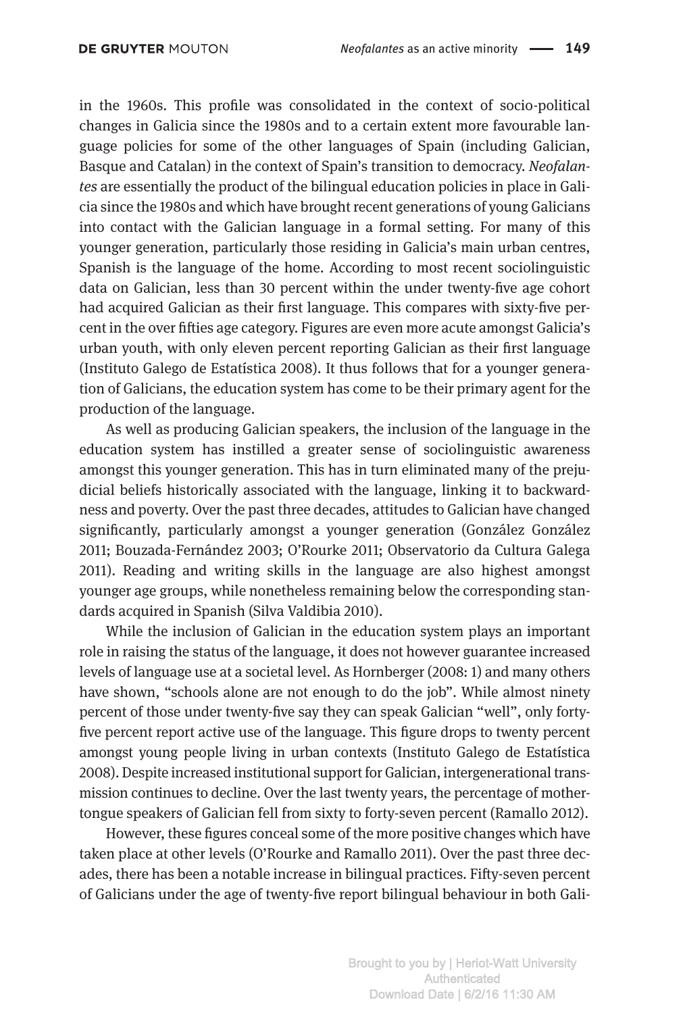in the 1960s. This profile was consolidated in the context of socio-political changes in Galicia since the 1980s and to a certain extent more favourable language policies for some of the other languages of Spain (including Galician, Basque and Catalan) in the context of Spain's transition to democracy. *Neofalantes* are essentially the product of the bilingual education policies in place in Galicia since the 1980s and which have brought recent generations of young Galicians into contact with the Galician language in a formal setting. For many of this younger generation, particularly those residing in Galicia's main urban centres, Spanish is the language of the home. According to most recent sociolinguistic data on Galician, less than 30 percent within the under twenty-five age cohort had acquired Galician as their first language. This compares with sixty-five percent in the over fifties age category. Figures are even more acute amongst Galicia's urban youth, with only eleven percent reporting Galician as their first language (Instituto Galego de Estatística 2008). It thus follows that for a younger generation of Galicians, the education system has come to be their primary agent for the production of the language.

As well as producing Galician speakers, the inclusion of the language in the education system has instilled a greater sense of sociolinguistic awareness amongst this younger generation. This has in turn eliminated many of the prejudicial beliefs historically associated with the language, linking it to backwardness and poverty. Over the past three decades, attitudes to Galician have changed significantly, particularly amongst a younger generation (González González 2011; Bouzada-Fernández 2003; O'Rourke 2011; Observatorio da Cultura Galega 2011). Reading and writing skills in the language are also highest amongst younger age groups, while nonetheless remaining below the corresponding standards acquired in Spanish (Silva Valdibia 2010).

While the inclusion of Galician in the education system plays an important role in raising the status of the language, it does not however guarantee increased levels of language use at a societal level. As Hornberger (2008: 1) and many others have shown, "schools alone are not enough to do the job". While almost ninety percent of those under twenty-five say they can speak Galician "well", only fortyfive percent report active use of the language. This figure drops to twenty percent amongst young people living in urban contexts (Instituto Galego de Estatística 2008). Despite increased institutional support for Galician, intergenerational transmission continues to decline. Over the last twenty years, the percentage of mothertongue speakers of Galician fell from sixty to forty-seven percent (Ramallo 2012).

However, these figures conceal some of the more positive changes which have taken place at other levels (O'Rourke and Ramallo 2011). Over the past three decades, there has been a notable increase in bilingual practices. Fifty-seven percent of Galicians under the age of twenty-five report bilingual behaviour in both Gali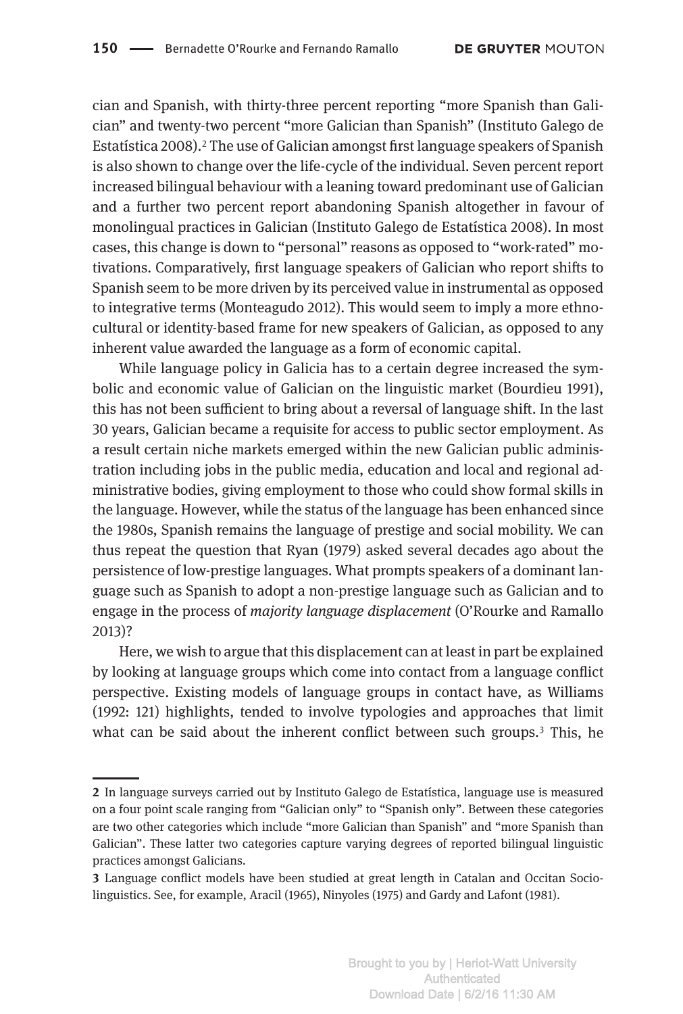cian and Spanish, with thirty-three percent reporting "more Spanish than Galician" and twenty-two percent "more Galician than Spanish" (Instituto Galego de Estatística 2008).2 The use of Galician amongst first language speakers of Spanish is also shown to change over the life-cycle of the individual. Seven percent report increased bilingual behaviour with a leaning toward predominant use of Galician and a further two percent report abandoning Spanish altogether in favour of monolingual practices in Galician (Instituto Galego de Estatística 2008). In most cases, this change is down to "personal" reasons as opposed to "work-rated" motivations. Comparatively, first language speakers of Galician who report shifts to Spanish seem to be more driven by its perceived value in instrumental as opposed to integrative terms (Monteagudo 2012). This would seem to imply a more ethnocultural or identity-based frame for new speakers of Galician, as opposed to any inherent value awarded the language as a form of economic capital.

While language policy in Galicia has to a certain degree increased the symbolic and economic value of Galician on the linguistic market (Bourdieu 1991), this has not been sufficient to bring about a reversal of language shift. In the last 30 years, Galician became a requisite for access to public sector employment. As a result certain niche markets emerged within the new Galician public administration including jobs in the public media, education and local and regional administrative bodies, giving employment to those who could show formal skills in the language. However, while the status of the language has been enhanced since the 1980s, Spanish remains the language of prestige and social mobility. We can thus repeat the question that Ryan (1979) asked several decades ago about the persistence of low-prestige languages. What prompts speakers of a dominant language such as Spanish to adopt a non-prestige language such as Galician and to engage in the process of *majority language displacement* (O'Rourke and Ramallo 2013)?

Here, we wish to argue that this displacement can at least in part be explained by looking at language groups which come into contact from a language conflict perspective. Existing models of language groups in contact have, as Williams (1992: 121) highlights, tended to involve typologies and approaches that limit what can be said about the inherent conflict between such groups.<sup>3</sup> This, he

**<sup>2</sup>** In language surveys carried out by Instituto Galego de Estatística, language use is measured on a four point scale ranging from "Galician only" to "Spanish only". Between these categories are two other categories which include "more Galician than Spanish" and "more Spanish than Galician". These latter two categories capture varying degrees of reported bilingual linguistic practices amongst Galicians.

**<sup>3</sup>** Language conflict models have been studied at great length in Catalan and Occitan Sociolinguistics. See, for example, Aracil (1965), Ninyoles (1975) and Gardy and Lafont (1981).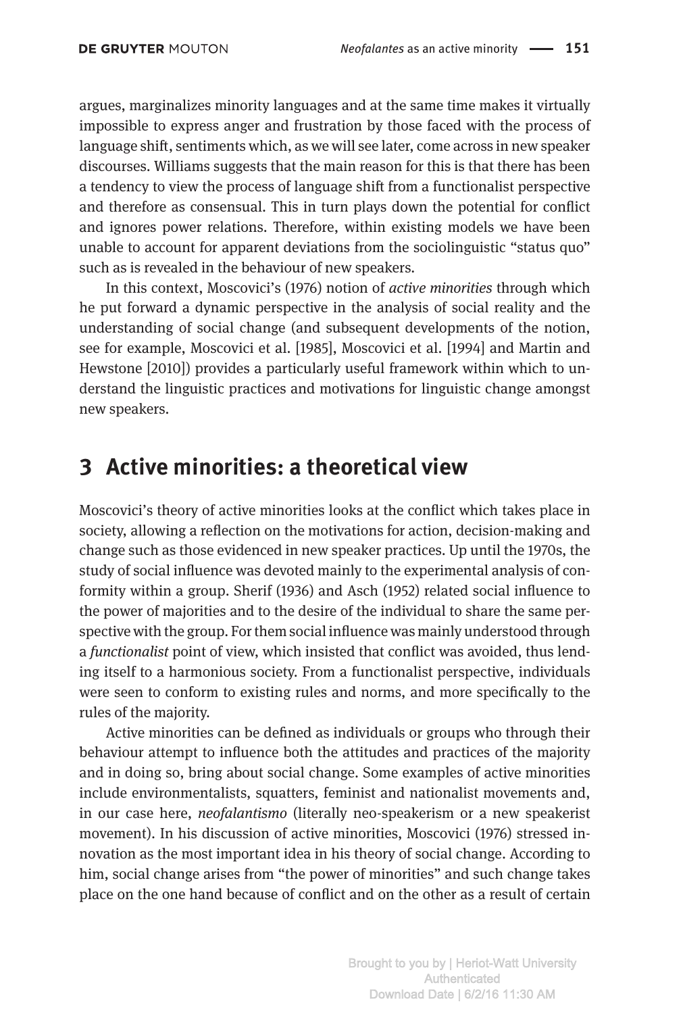argues, marginalizes minority languages and at the same time makes it virtually impossible to express anger and frustration by those faced with the process of language shift, sentiments which, as we will see later, come across in new speaker discourses. Williams suggests that the main reason for this is that there has been a tendency to view the process of language shift from a functionalist perspective and therefore as consensual. This in turn plays down the potential for conflict and ignores power relations. Therefore, within existing models we have been unable to account for apparent deviations from the sociolinguistic "status quo" such as is revealed in the behaviour of new speakers.

In this context, Moscovici's (1976) notion of *active minorities* through which he put forward a dynamic perspective in the analysis of social reality and the understanding of social change (and subsequent developments of the notion, see for example, Moscovici et al. [1985], Moscovici et al. [1994] and Martin and Hewstone [2010]) provides a particularly useful framework within which to understand the linguistic practices and motivations for linguistic change amongst new speakers.

### **3 Active minorities: a theoretical view**

Moscovici's theory of active minorities looks at the conflict which takes place in society, allowing a reflection on the motivations for action, decision-making and change such as those evidenced in new speaker practices. Up until the 1970s, the study of social influence was devoted mainly to the experimental analysis of conformity within a group. Sherif (1936) and Asch (1952) related social influence to the power of majorities and to the desire of the individual to share the same perspective with the group. For them social influence was mainly understood through a *functionalist* point of view, which insisted that conflict was avoided, thus lending itself to a harmonious society. From a functionalist perspective, individuals were seen to conform to existing rules and norms, and more specifically to the rules of the majority.

Active minorities can be defined as individuals or groups who through their behaviour attempt to influence both the attitudes and practices of the majority and in doing so, bring about social change. Some examples of active minorities include environmentalists, squatters, feminist and nationalist movements and, in our case here, *neofalantismo* (literally neo-speakerism or a new speakerist movement). In his discussion of active minorities, Moscovici (1976) stressed innovation as the most important idea in his theory of social change. According to him, social change arises from "the power of minorities" and such change takes place on the one hand because of conflict and on the other as a result of certain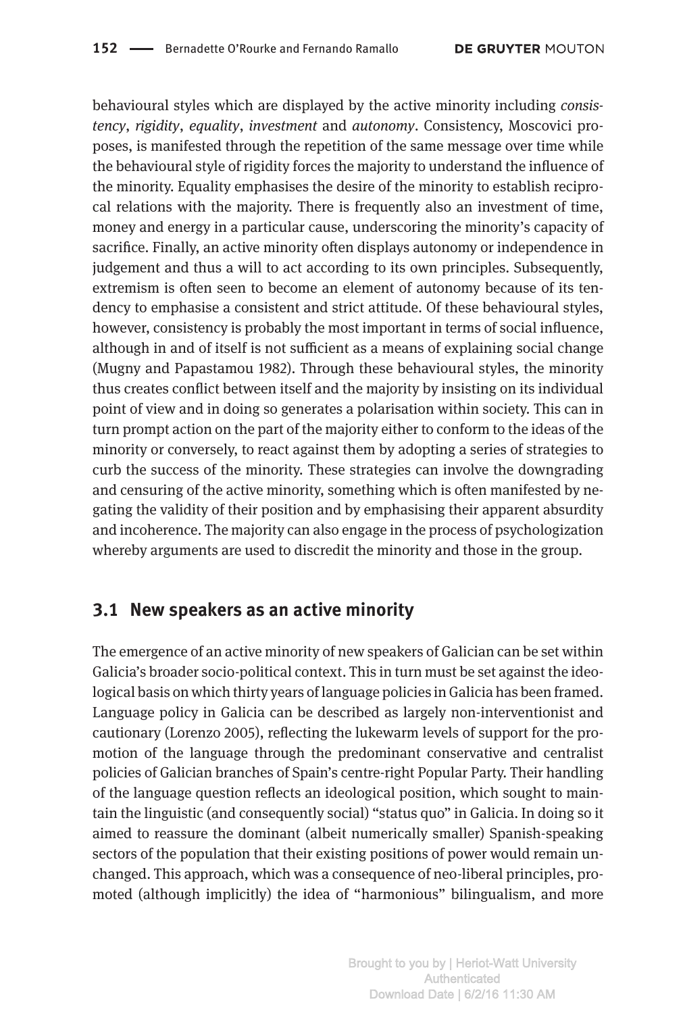behavioural styles which are displayed by the active minority including *consistency*, *rigidity*, *equality*, *investment* and *autonomy*. Consistency, Moscovici proposes, is manifested through the repetition of the same message over time while the behavioural style of rigidity forces the majority to understand the influence of the minority. Equality emphasises the desire of the minority to establish reciprocal relations with the majority. There is frequently also an investment of time, money and energy in a particular cause, underscoring the minority's capacity of sacrifice. Finally, an active minority often displays autonomy or independence in judgement and thus a will to act according to its own principles. Subsequently, extremism is often seen to become an element of autonomy because of its tendency to emphasise a consistent and strict attitude. Of these behavioural styles, however, consistency is probably the most important in terms of social influence, although in and of itself is not sufficient as a means of explaining social change (Mugny and Papastamou 1982). Through these behavioural styles, the minority thus creates conflict between itself and the majority by insisting on its individual point of view and in doing so generates a polarisation within society. This can in turn prompt action on the part of the majority either to conform to the ideas of the minority or conversely, to react against them by adopting a series of strategies to curb the success of the minority. These strategies can involve the downgrading and censuring of the active minority, something which is often manifested by negating the validity of their position and by emphasising their apparent absurdity and incoherence. The majority can also engage in the process of psychologization whereby arguments are used to discredit the minority and those in the group.

### **3.1 New speakers as an active minority**

The emergence of an active minority of new speakers of Galician can be set within Galicia's broader socio-political context. This in turn must be set against the ideological basis on which thirty years of language policies in Galicia has been framed. Language policy in Galicia can be described as largely non-interventionist and cautionary (Lorenzo 2005), reflecting the lukewarm levels of support for the promotion of the language through the predominant conservative and centralist policies of Galician branches of Spain's centre-right Popular Party. Their handling of the language question reflects an ideological position, which sought to maintain the linguistic (and consequently social) "status quo" in Galicia. In doing so it aimed to reassure the dominant (albeit numerically smaller) Spanish-speaking sectors of the population that their existing positions of power would remain unchanged. This approach, which was a consequence of neo-liberal principles, promoted (although implicitly) the idea of "harmonious" bilingualism, and more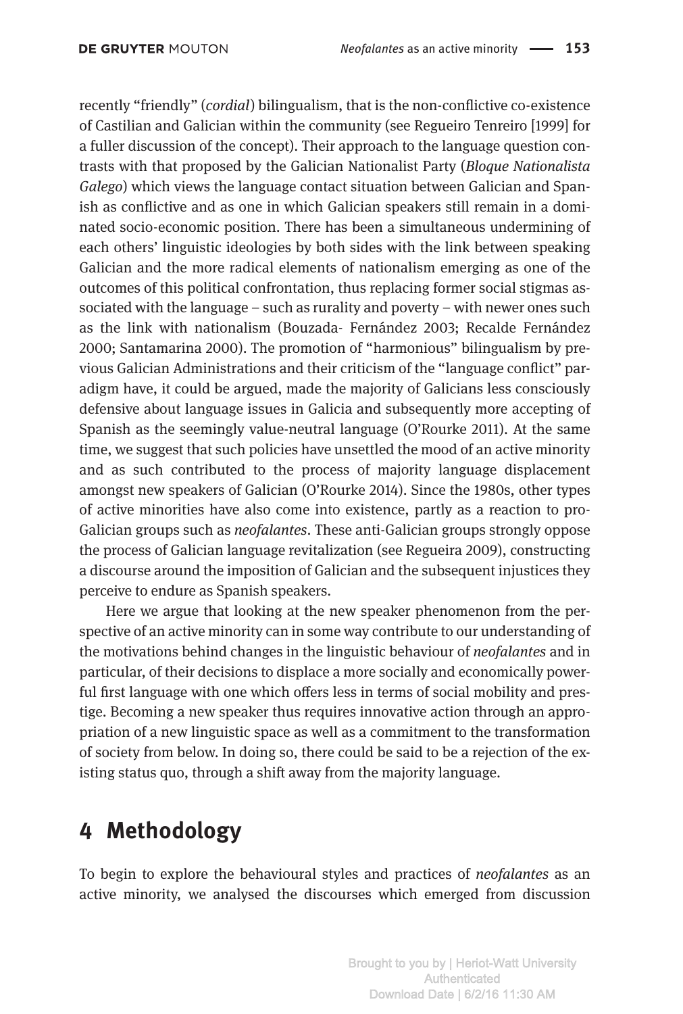recently "friendly" (*cordial*) bilingualism, that is the non-conflictive co-existence of Castilian and Galician within the community (see Regueiro Tenreiro [1999] for a fuller discussion of the concept). Their approach to the language question contrasts with that proposed by the Galician Nationalist Party (*Bloque Nationalista Galego*) which views the language contact situation between Galician and Spanish as conflictive and as one in which Galician speakers still remain in a dominated socio-economic position. There has been a simultaneous undermining of each others' linguistic ideologies by both sides with the link between speaking Galician and the more radical elements of nationalism emerging as one of the outcomes of this political confrontation, thus replacing former social stigmas associated with the language – such as rurality and poverty – with newer ones such as the link with nationalism (Bouzada- Fernández 2003; Recalde Fernández 2000; Santamarina 2000). The promotion of "harmonious" bilingualism by previous Galician Administrations and their criticism of the "language conflict" paradigm have, it could be argued, made the majority of Galicians less consciously defensive about language issues in Galicia and subsequently more accepting of Spanish as the seemingly value-neutral language (O'Rourke 2011). At the same time, we suggest that such policies have unsettled the mood of an active minority and as such contributed to the process of majority language displacement amongst new speakers of Galician (O'Rourke 2014). Since the 1980s, other types of active minorities have also come into existence, partly as a reaction to pro-Galician groups such as *neofalantes*. These anti-Galician groups strongly oppose the process of Galician language revitalization (see Regueira 2009), constructing a discourse around the imposition of Galician and the subsequent injustices they perceive to endure as Spanish speakers.

Here we argue that looking at the new speaker phenomenon from the perspective of an active minority can in some way contribute to our understanding of the motivations behind changes in the linguistic behaviour of *neofalantes* and in particular, of their decisions to displace a more socially and economically powerful first language with one which offers less in terms of social mobility and prestige. Becoming a new speaker thus requires innovative action through an appropriation of a new linguistic space as well as a commitment to the transformation of society from below. In doing so, there could be said to be a rejection of the existing status quo, through a shift away from the majority language.

# **4 Methodology**

To begin to explore the behavioural styles and practices of *neofalantes* as an active minority, we analysed the discourses which emerged from discussion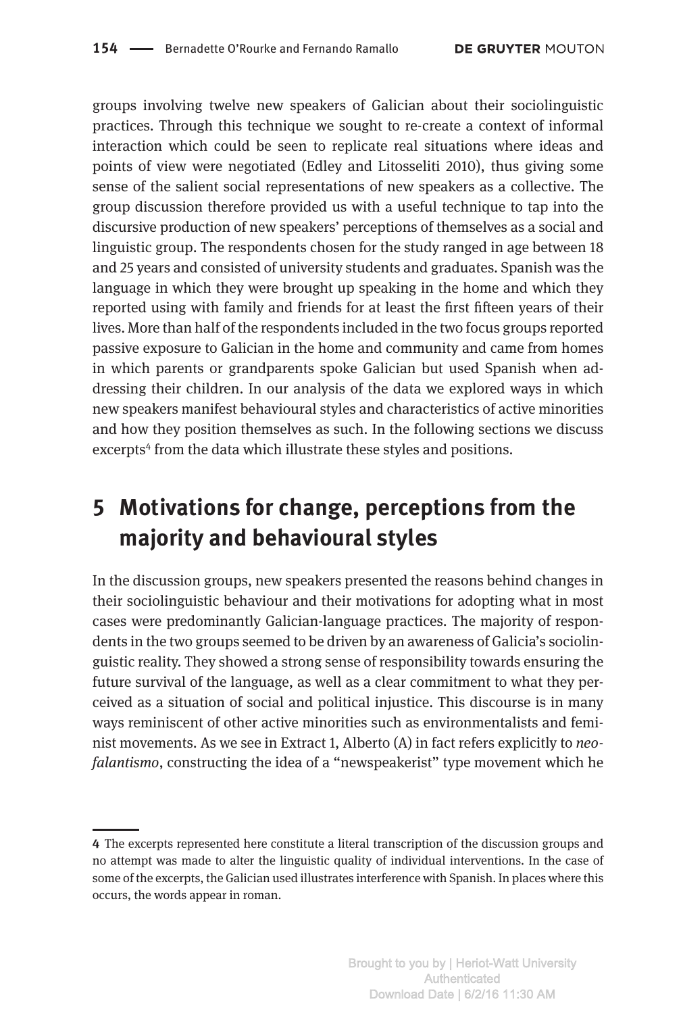groups involving twelve new speakers of Galician about their sociolinguistic practices. Through this technique we sought to re-create a context of informal interaction which could be seen to replicate real situations where ideas and points of view were negotiated (Edley and Litosseliti 2010), thus giving some sense of the salient social representations of new speakers as a collective. The group discussion therefore provided us with a useful technique to tap into the discursive production of new speakers' perceptions of themselves as a social and linguistic group. The respondents chosen for the study ranged in age between 18 and 25 years and consisted of university students and graduates. Spanish was the language in which they were brought up speaking in the home and which they reported using with family and friends for at least the first fifteen years of their lives. More than half of the respondents included in the two focus groups reported passive exposure to Galician in the home and community and came from homes in which parents or grandparents spoke Galician but used Spanish when addressing their children. In our analysis of the data we explored ways in which new speakers manifest behavioural styles and characteristics of active minorities and how they position themselves as such. In the following sections we discuss excerpts<sup>4</sup> from the data which illustrate these styles and positions.

# **5 Motivations for change, perceptions from the majority and behavioural styles**

In the discussion groups, new speakers presented the reasons behind changes in their sociolinguistic behaviour and their motivations for adopting what in most cases were predominantly Galician-language practices. The majority of respondents in the two groups seemed to be driven by an awareness of Galicia's sociolinguistic reality. They showed a strong sense of responsibility towards ensuring the future survival of the language, as well as a clear commitment to what they perceived as a situation of social and political injustice. This discourse is in many ways reminiscent of other active minorities such as environmentalists and feminist movements. As we see in Extract 1, Alberto (A) in fact refers explicitly to *neofalantismo*, constructing the idea of a "newspeakerist" type movement which he

**<sup>4</sup>** The excerpts represented here constitute a literal transcription of the discussion groups and no attempt was made to alter the linguistic quality of individual interventions. In the case of some of the excerpts, the Galician used illustrates interference with Spanish. In places where this occurs, the words appear in roman.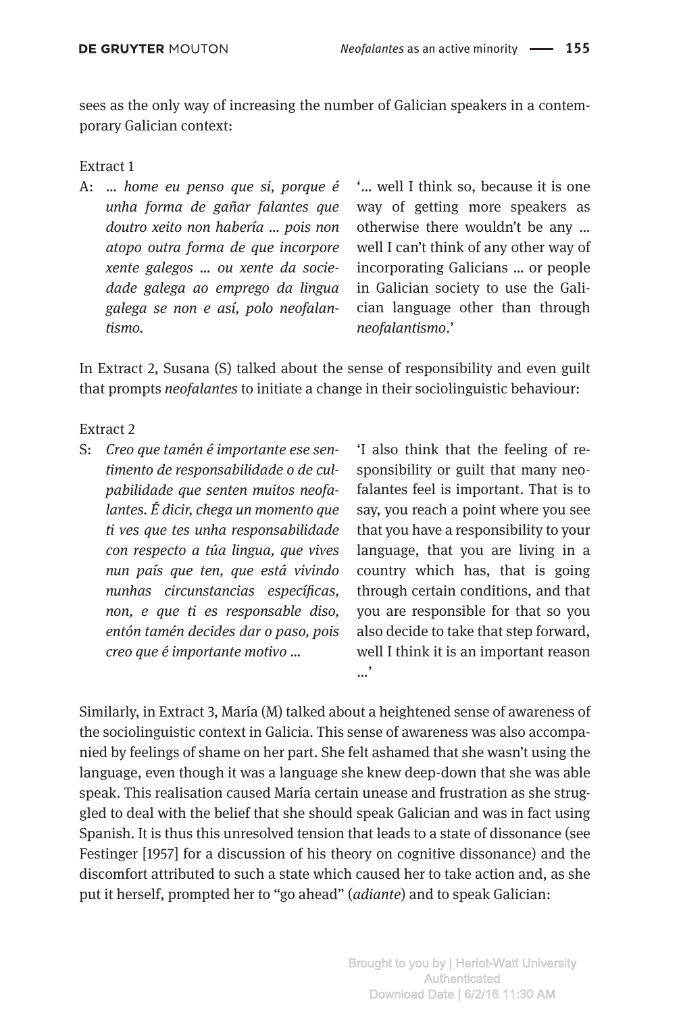sees as the only way of increasing the number of Galician speakers in a contemporary Galician context:

### Extract 1

A: … *home eu penso que si, porque é unha forma de gañar falantes que doutro xeito non habería … pois non atopo outra forma de que incorpore xente galegos … ou xente da sociedade galega ao emprego da lingua galega se non e así, polo neofalantismo.*

'… well I think so, because it is one way of getting more speakers as otherwise there wouldn't be any … well I can't think of any other way of incorporating Galicians … or people in Galician society to use the Galician language other than through *neofalantismo*.'

In Extract 2, Susana (S) talked about the sense of responsibility and even guilt that prompts *neofalantes* to initiate a change in their sociolinguistic behaviour:

### Extract 2

S: *Creo que tamén é importante ese sentimento de responsabilidade o de culpabilidade que senten muitos neofalantes. É dicir, chega un momento que ti ves que tes unha responsabilidade con respecto a túa lingua, que vives nun país que ten, que está vivindo nunhas circunstancias específicas, non, e que ti es responsable diso, entón tamén decides dar o paso, pois creo que é importante motivo …*

'I also think that the feeling of responsibility or guilt that many neofalantes feel is important. That is to say, you reach a point where you see that you have a responsibility to your language, that you are living in a country which has, that is going through certain conditions, and that you are responsible for that so you also decide to take that step forward, well I think it is an important reason …'

Similarly, in Extract 3, María (M) talked about a heightened sense of awareness of the sociolinguistic context in Galicia. This sense of awareness was also accompanied by feelings of shame on her part. She felt ashamed that she wasn't using the language, even though it was a language she knew deep-down that she was able speak. This realisation caused María certain unease and frustration as she struggled to deal with the belief that she should speak Galician and was in fact using Spanish. It is thus this unresolved tension that leads to a state of dissonance (see Festinger [1957] for a discussion of his theory on cognitive dissonance) and the discomfort attributed to such a state which caused her to take action and, as she put it herself, prompted her to "go ahead" (*adiante*) and to speak Galician: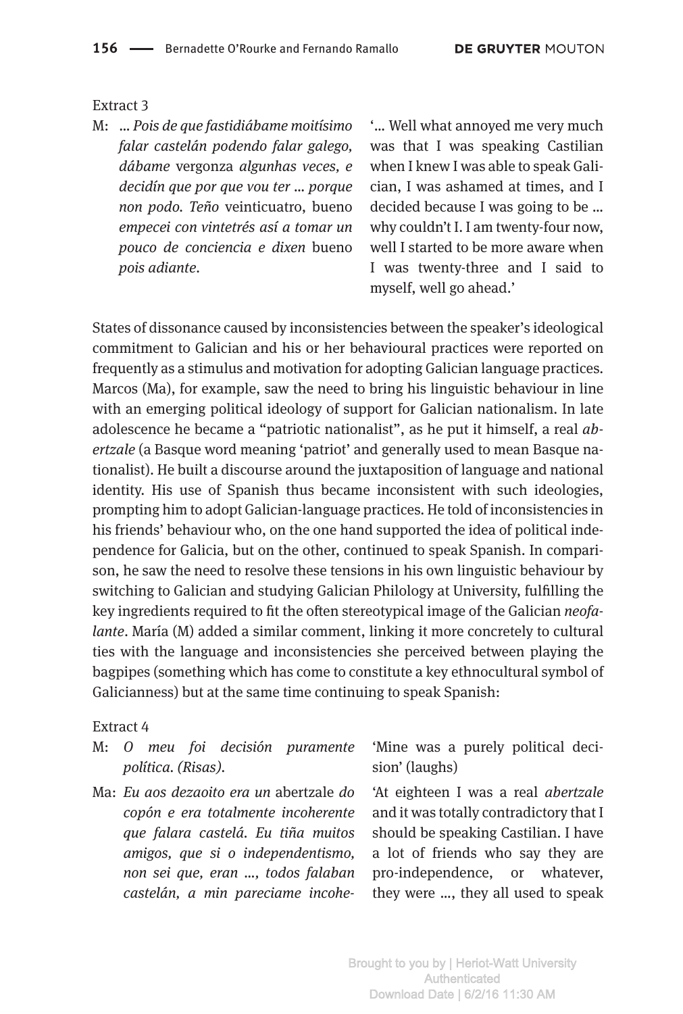#### Extract 3

M: … *Pois de que fastidiábame moitísimo falar castelán podendo falar galego, dábame* vergonza *algunhas veces, e decidín que por que vou ter … porque non podo. Teño* veinticuatro, bueno *empecei con vintetrés así a tomar un pouco de conciencia e dixen* bueno *pois adiante.* 

'… Well what annoyed me very much was that I was speaking Castilian when I knew I was able to speak Galician, I was ashamed at times, and I decided because I was going to be … why couldn't I. I am twenty-four now, well I started to be more aware when I was twenty-three and I said to myself, well go ahead.'

States of dissonance caused by inconsistencies between the speaker's ideological commitment to Galician and his or her behavioural practices were reported on frequently as a stimulus and motivation for adopting Galician language practices. Marcos (Ma), for example, saw the need to bring his linguistic behaviour in line with an emerging political ideology of support for Galician nationalism. In late adolescence he became a "patriotic nationalist", as he put it himself, a real *abertzale* (a Basque word meaning 'patriot' and generally used to mean Basque nationalist). He built a discourse around the juxtaposition of language and national identity. His use of Spanish thus became inconsistent with such ideologies, prompting him to adopt Galician-language practices. He told of inconsistencies in his friends' behaviour who, on the one hand supported the idea of political independence for Galicia, but on the other, continued to speak Spanish. In comparison, he saw the need to resolve these tensions in his own linguistic behaviour by switching to Galician and studying Galician Philology at University, fulfilling the key ingredients required to fit the often stereotypical image of the Galician *neofalante*. María (M) added a similar comment, linking it more concretely to cultural ties with the language and inconsistencies she perceived between playing the bagpipes (something which has come to constitute a key ethnocultural symbol of Galicianness) but at the same time continuing to speak Spanish:

#### Extract 4

- M: *O meu foi decisión puramente política. (Risas).*
- Ma: *Eu aos dezaoito era un* abertzale *do copón e era totalmente incoherente que falara castelá. Eu tiña muitos amigos, que si o independentismo, non sei que, eran …, todos falaban castelán, a min pareciame incohe-*

'Mine was a purely political decision' (laughs)

'At eighteen I was a real *abertzale* and it was totally contradictory that I should be speaking Castilian. I have a lot of friends who say they are pro-independence, or whatever, they were …, they all used to speak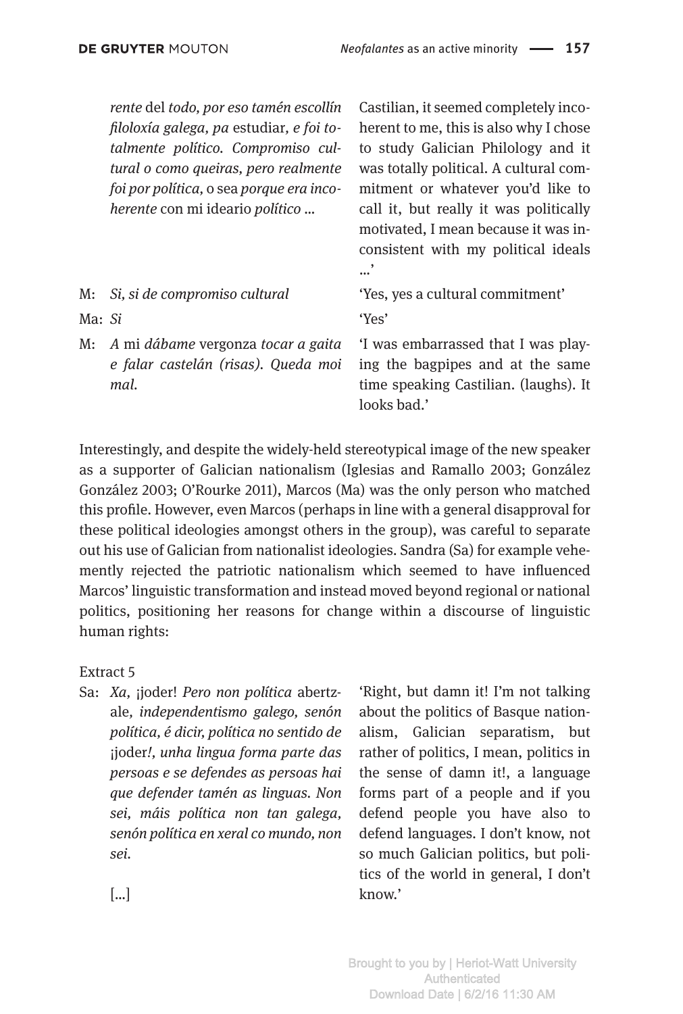|               | rente del todo, por eso tamén escollín<br>filoloxía galega, pa estudiar, e foi to-<br>talmente político. Compromiso cul-<br>tural o como queiras, pero realmente<br>foi por política, o sea porque era inco-<br>herente con mi ideario político | Castilian, it seemed completely inco-<br>herent to me, this is also why I chose<br>to study Galician Philology and it<br>was totally political. A cultural com-<br>mitment or whatever you'd like to<br>call it, but really it was politically<br>motivated, I mean because it was in-<br>consistent with my political ideals<br>$\overline{\phantom{a}}$<br>$\cdots$ |
|---------------|-------------------------------------------------------------------------------------------------------------------------------------------------------------------------------------------------------------------------------------------------|-----------------------------------------------------------------------------------------------------------------------------------------------------------------------------------------------------------------------------------------------------------------------------------------------------------------------------------------------------------------------|
| M:            | Si, si de compromiso cultural                                                                                                                                                                                                                   | 'Yes, yes a cultural commitment'                                                                                                                                                                                                                                                                                                                                      |
| Ma: <i>Si</i> |                                                                                                                                                                                                                                                 | 'Yes'                                                                                                                                                                                                                                                                                                                                                                 |
| M:            | A mi dábame vergonza tocar a gaita<br>e falar castelán (risas). Queda moi<br>mal.                                                                                                                                                               | 'I was embarrassed that I was play-<br>ing the bagpipes and at the same<br>time speaking Castilian. (laughs). It<br>looks bad.'                                                                                                                                                                                                                                       |

Interestingly, and despite the widely-held stereotypical image of the new speaker as a supporter of Galician nationalism (Iglesias and Ramallo 2003; González González 2003; O'Rourke 2011), Marcos (Ma) was the only person who matched this profile. However, even Marcos (perhaps in line with a general disapproval for these political ideologies amongst others in the group), was careful to separate out his use of Galician from nationalist ideologies. Sandra (Sa) for example vehemently rejected the patriotic nationalism which seemed to have influenced Marcos' linguistic transformation and instead moved beyond regional or national politics, positioning her reasons for change within a discourse of linguistic human rights:

Extract 5

Sa: *Xa,* ¡joder! *Pero non política* abertzale*, independentismo galego, senón política, é dicir, política no sentido de* ¡joder*!, unha lingua forma parte das persoas e se defendes as persoas hai que defender tamén as linguas. Non sei, máis política non tan galega, senón política en xeral co mundo, non sei.*

'Right, but damn it! I'm not talking about the politics of Basque nationalism, Galician separatism, but rather of politics, I mean, politics in the sense of damn it!, a language forms part of a people and if you defend people you have also to defend languages. I don't know, not so much Galician politics, but politics of the world in general, I don't know.'

[…]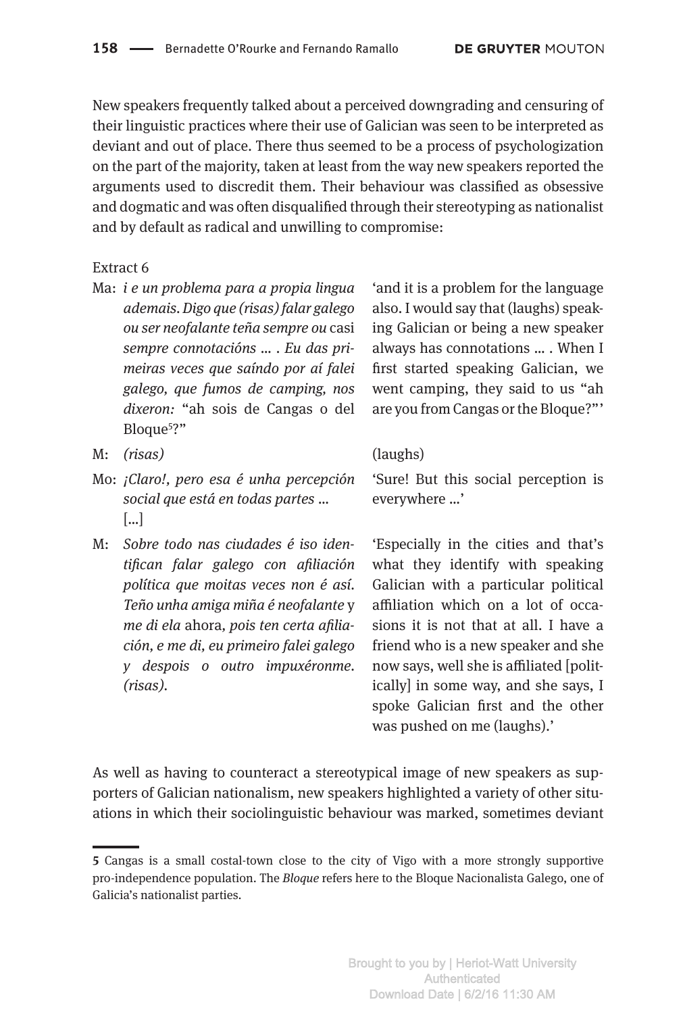New speakers frequently talked about a perceived downgrading and censuring of their linguistic practices where their use of Galician was seen to be interpreted as deviant and out of place. There thus seemed to be a process of psychologization on the part of the majority, taken at least from the way new speakers reported the arguments used to discredit them. Their behaviour was classified as obsessive and dogmatic and was often disqualified through their stereotyping as nationalist and by default as radical and unwilling to compromise:

### Extract 6

Ma: *i e un problema para a propia lingua ademais. Digo que (risas) falar galego ou ser neofalante teña sempre ou* casi *sempre connotacións … . Eu das primeiras veces que saíndo por aí falei galego, que fumos de camping, nos dixeron:* "ah sois de Cangas o del Bloque<sup>5</sup>?"

'and it is a problem for the language also. I would say that (laughs) speaking Galician or being a new speaker always has connotations … . When I first started speaking Galician, we went camping, they said to us "ah are you from Cangas or the Bloque?" '

- M: *(risas)* (laughs)
- Mo: *¡Claro!, pero esa é unha percepción social que está en todas partes* … […]
- M: *Sobre todo nas ciudades é iso identifican falar galego con afiliación política que moitas veces non é así. Teño unha amiga miña é neofalante* y *me di ela* ahora*, pois ten certa afiliación, e me di, eu primeiro falei galego y despois o outro impuxéronme. (risas).*

'Sure! But this social perception is everywhere …'

'Especially in the cities and that's what they identify with speaking Galician with a particular political affiliation which on a lot of occasions it is not that at all. I have a friend who is a new speaker and she now says, well she is affiliated [politically] in some way, and she says, I spoke Galician first and the other was pushed on me (laughs).'

As well as having to counteract a stereotypical image of new speakers as supporters of Galician nationalism, new speakers highlighted a variety of other situations in which their sociolinguistic behaviour was marked, sometimes deviant

**<sup>5</sup>** Cangas is a small costal-town close to the city of Vigo with a more strongly supportive pro-independence population. The *Bloque* refers here to the Bloque Nacionalista Galego, one of Galicia's nationalist parties.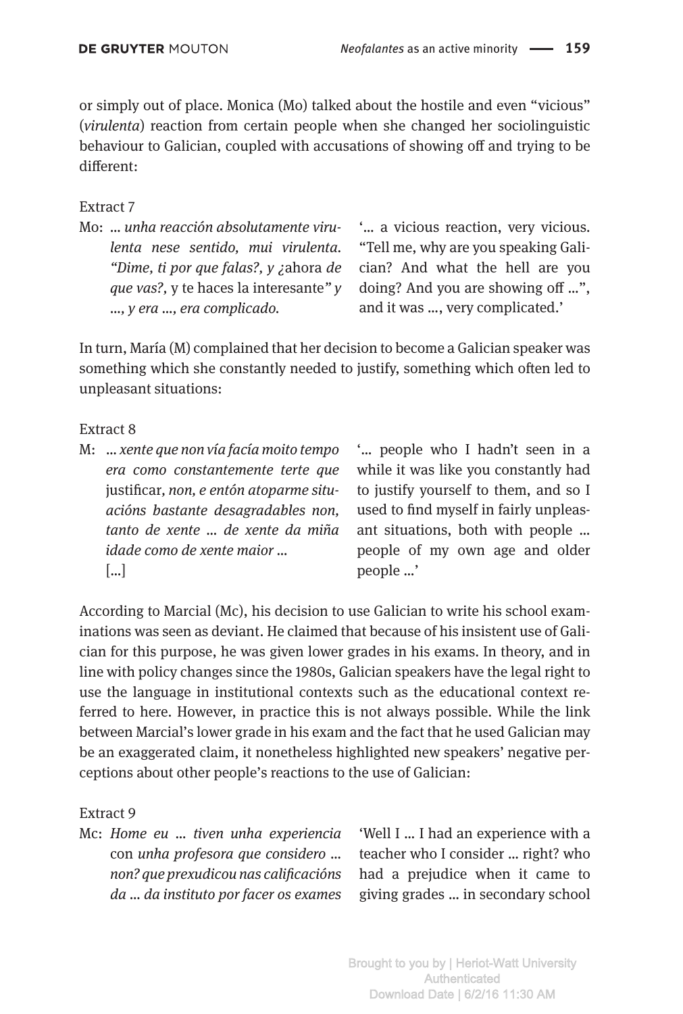or simply out of place. Monica (Mo) talked about the hostile and even "vicious" (*virulenta*) reaction from certain people when she changed her sociolinguistic behaviour to Galician, coupled with accusations of showing off and trying to be different:

### Extract 7

Mo: *… unha reacción absolutamente virulenta nese sentido, mui virulenta. "Dime, ti por que falas?, y ¿*ahora *de que vas?,* y te haces la interesante*" y …, y era …, era complicado.* 

'… a vicious reaction, very vicious. "Tell me, why are you speaking Galician? And what the hell are you doing? And you are showing off …", and it was …, very complicated.'

In turn, María (M) complained that her decision to become a Galician speaker was something which she constantly needed to justify, something which often led to unpleasant situations:

Extract 8

M: … *xente que non vía facía moito tempo era como constantemente terte que* justificar*, non, e entón atoparme situacións bastante desagradables non, tanto de xente … de xente da miña idade como de xente maior …* […]

'… people who I hadn't seen in a while it was like you constantly had to justify yourself to them, and so I used to find myself in fairly unpleasant situations, both with people … people of my own age and older people …'

According to Marcial (Mc), his decision to use Galician to write his school examinations was seen as deviant. He claimed that because of his insistent use of Galician for this purpose, he was given lower grades in his exams. In theory, and in line with policy changes since the 1980s, Galician speakers have the legal right to use the language in institutional contexts such as the educational context referred to here. However, in practice this is not always possible. While the link between Marcial's lower grade in his exam and the fact that he used Galician may be an exaggerated claim, it nonetheless highlighted new speakers' negative perceptions about other people's reactions to the use of Galician:

Extract 9

Mc: *Home eu … tiven unha experiencia* con *unha profesora que considero … non? que prexudicou nas calificacións da … da instituto por facer os exames* 

'Well I … I had an experience with a teacher who I consider … right? who had a prejudice when it came to giving grades … in secondary school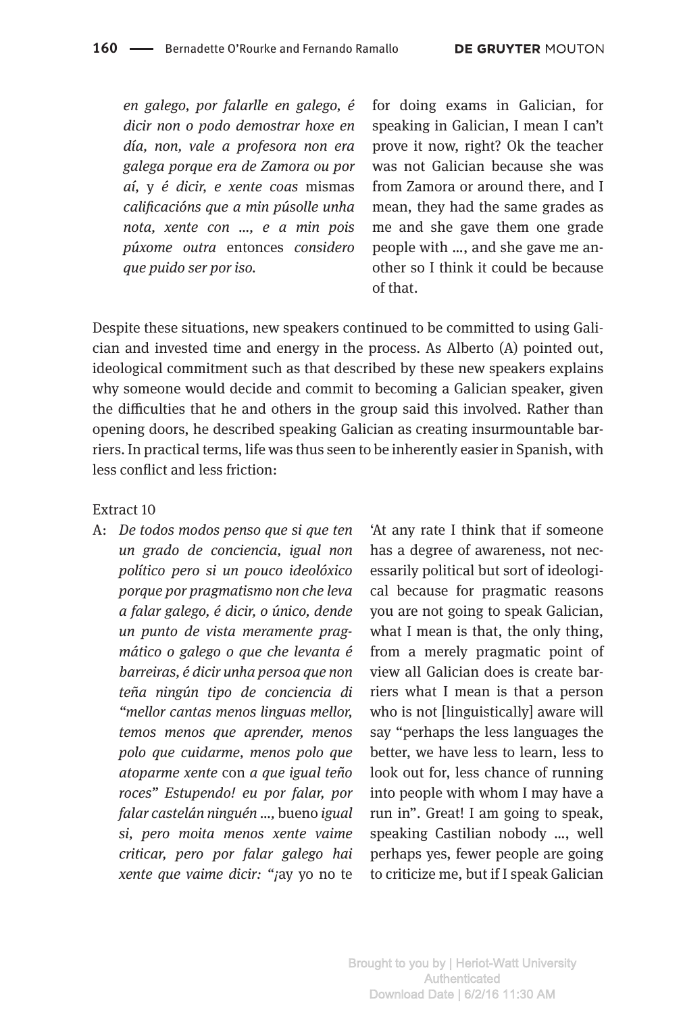*en galego, por falarlle en galego, é dicir non o podo demostrar hoxe en día, non, vale a profesora non era galega porque era de Zamora ou por aí,* y *é dicir, e xente coas* mismas *calificacións que a min púsolle unha nota, xente con …, e a min pois púxome outra* entonces *considero que puido ser por iso.*

for doing exams in Galician, for speaking in Galician, I mean I can't prove it now, right? Ok the teacher was not Galician because she was from Zamora or around there, and I mean, they had the same grades as me and she gave them one grade people with …, and she gave me another so I think it could be because of that.

Despite these situations, new speakers continued to be committed to using Galician and invested time and energy in the process. As Alberto (A) pointed out, ideological commitment such as that described by these new speakers explains why someone would decide and commit to becoming a Galician speaker, given the difficulties that he and others in the group said this involved. Rather than opening doors, he described speaking Galician as creating insurmountable barriers. In practical terms, life was thus seen to be inherently easier in Spanish, with less conflict and less friction:

Extract 10

A: *De todos modos penso que si que ten un grado de conciencia, igual non político pero si un pouco ideolóxico porque por pragmatismo non che leva a falar galego, é dicir, o único, dende un punto de vista meramente pragmático o galego o que che levanta é barreiras, é dicir unha persoa que non teña ningún tipo de conciencia di "mellor cantas menos linguas mellor, temos menos que aprender, menos polo que cuidarme, menos polo que atoparme xente* con *a que igual teño roces" Estupendo! eu por falar, por falar castelán ninguén …,* bueno *igual si, pero moita menos xente vaime criticar, pero por falar galego hai xente que vaime dicir: "¡*ay yo no te

'At any rate I think that if someone has a degree of awareness, not necessarily political but sort of ideological because for pragmatic reasons you are not going to speak Galician, what I mean is that, the only thing, from a merely pragmatic point of view all Galician does is create barriers what I mean is that a person who is not [linguistically] aware will say "perhaps the less languages the better, we have less to learn, less to look out for, less chance of running into people with whom I may have a run in". Great! I am going to speak, speaking Castilian nobody …, well perhaps yes, fewer people are going to criticize me, but if I speak Galician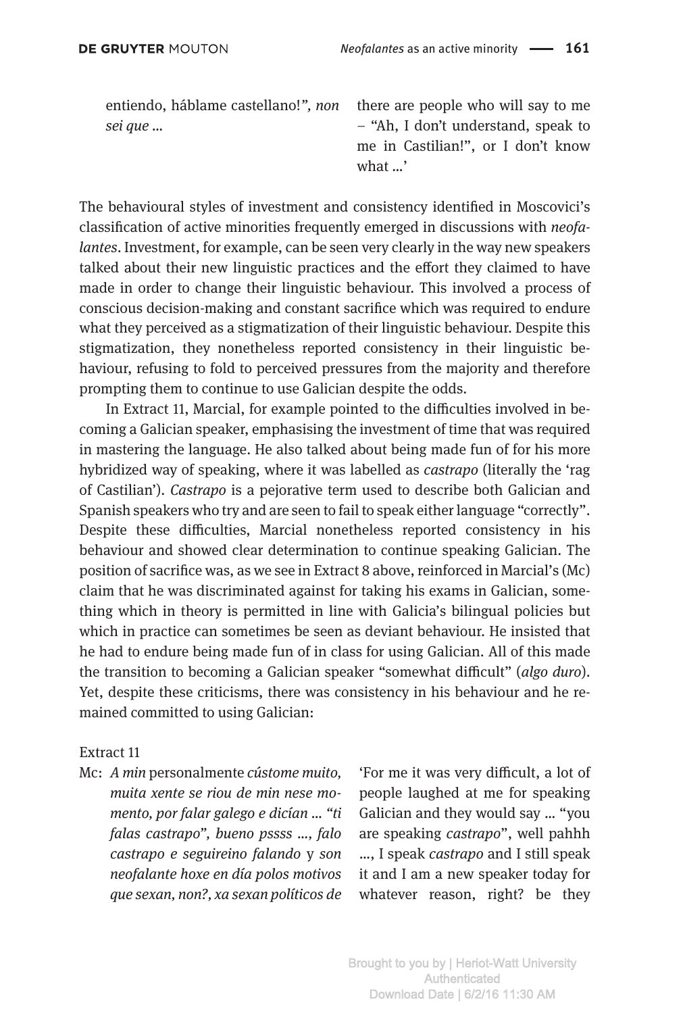entiendo, háblame castellano!*", non sei que …*

there are people who will say to me – "Ah, I don't understand, speak to me in Castilian!", or I don't know what …'

The behavioural styles of investment and consistency identified in Moscovici's classification of active minorities frequently emerged in discussions with *neofalantes*. Investment, for example, can be seen very clearly in the way new speakers talked about their new linguistic practices and the effort they claimed to have made in order to change their linguistic behaviour. This involved a process of conscious decision-making and constant sacrifice which was required to endure what they perceived as a stigmatization of their linguistic behaviour. Despite this stigmatization, they nonetheless reported consistency in their linguistic behaviour, refusing to fold to perceived pressures from the majority and therefore prompting them to continue to use Galician despite the odds.

In Extract 11, Marcial, for example pointed to the difficulties involved in becoming a Galician speaker, emphasising the investment of time that was required in mastering the language. He also talked about being made fun of for his more hybridized way of speaking, where it was labelled as *castrapo* (literally the 'rag of Castilian'). *Castrapo* is a pejorative term used to describe both Galician and Spanish speakers who try and are seen to fail to speak either language "correctly". Despite these difficulties, Marcial nonetheless reported consistency in his behaviour and showed clear determination to continue speaking Galician. The position of sacrifice was, as we see in Extract 8 above, reinforced in Marcial's (Mc) claim that he was discriminated against for taking his exams in Galician, something which in theory is permitted in line with Galicia's bilingual policies but which in practice can sometimes be seen as deviant behaviour. He insisted that he had to endure being made fun of in class for using Galician. All of this made the transition to becoming a Galician speaker "somewhat difficult" (*algo duro*). Yet, despite these criticisms, there was consistency in his behaviour and he remained committed to using Galician:

### Extract 11

Mc: *A min* personalmente *cústome muito, muita xente se riou de min nese momento, por falar galego e dicían … "ti falas castrapo", bueno pssss …, falo castrapo e seguireino falando* y *son neofalante hoxe en día polos motivos que sexan, non?, xa sexan políticos de* 

'For me it was very difficult, a lot of people laughed at me for speaking Galician and they would say … "you are speaking *castrapo*", well pahhh …, I speak *castrapo* and I still speak it and I am a new speaker today for whatever reason, right? be they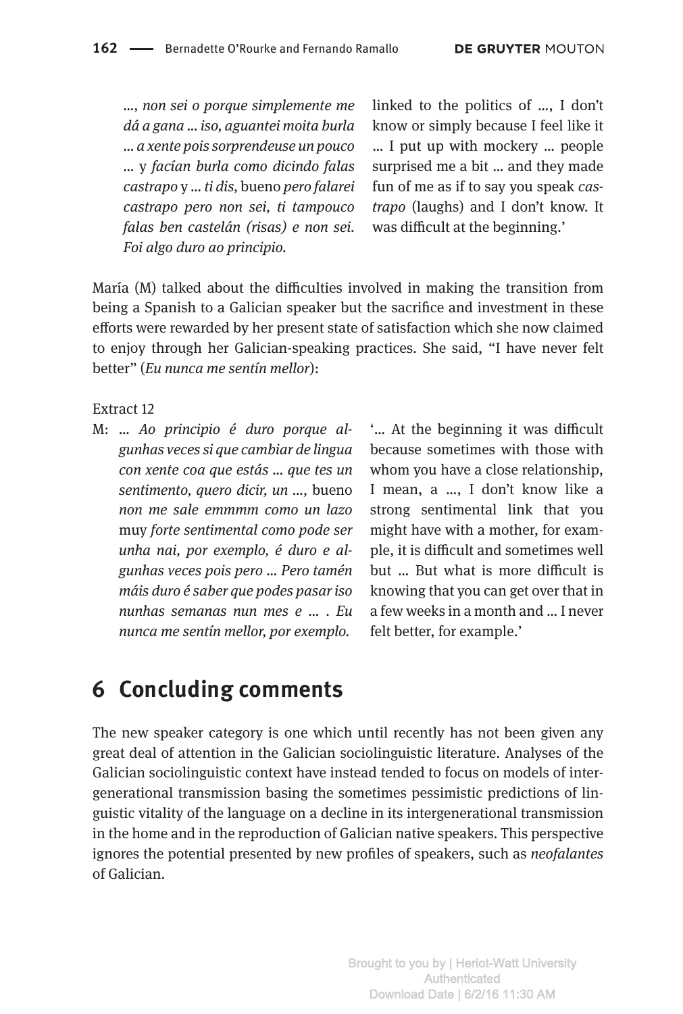*…, non sei o porque simplemente me dá a gana … iso, aguantei moita burla … a xente pois sorprendeuse un pouco …* y *facían burla como dicindo falas castrapo* y *… ti dis,* bueno *pero falarei castrapo pero non sei, ti tampouco falas ben castelán (risas) e non sei. Foi algo duro ao principio.*

linked to the politics of …, I don't know or simply because I feel like it … I put up with mockery … people surprised me a bit … and they made fun of me as if to say you speak *castrapo* (laughs) and I don't know. It was difficult at the beginning.'

María (M) talked about the difficulties involved in making the transition from being a Spanish to a Galician speaker but the sacrifice and investment in these efforts were rewarded by her present state of satisfaction which she now claimed to enjoy through her Galician-speaking practices. She said, "I have never felt better" (*Eu nunca me sentín mellor*):

Extract 12

M: *… Ao principio é duro porque algunhas veces si que cambiar de lingua con xente coa que estás … que tes un sentimento, quero dicir, un …,* bueno *non me sale emmmm como un lazo* muy *forte sentimental como pode ser unha nai, por exemplo, é duro e algunhas veces pois pero … Pero tamén máis duro é saber que podes pasar iso nunhas semanas nun mes e … . Eu nunca me sentín mellor, por exemplo.*

'… At the beginning it was difficult because sometimes with those with whom you have a close relationship, I mean, a …, I don't know like a strong sentimental link that you might have with a mother, for example, it is difficult and sometimes well but … But what is more difficult is knowing that you can get over that in a few weeks in a month and … I never felt better, for example.'

### **6 Concluding comments**

The new speaker category is one which until recently has not been given any great deal of attention in the Galician sociolinguistic literature. Analyses of the Galician sociolinguistic context have instead tended to focus on models of intergenerational transmission basing the sometimes pessimistic predictions of linguistic vitality of the language on a decline in its intergenerational transmission in the home and in the reproduction of Galician native speakers. This perspective ignores the potential presented by new profiles of speakers, such as *neofalantes*  of Galician.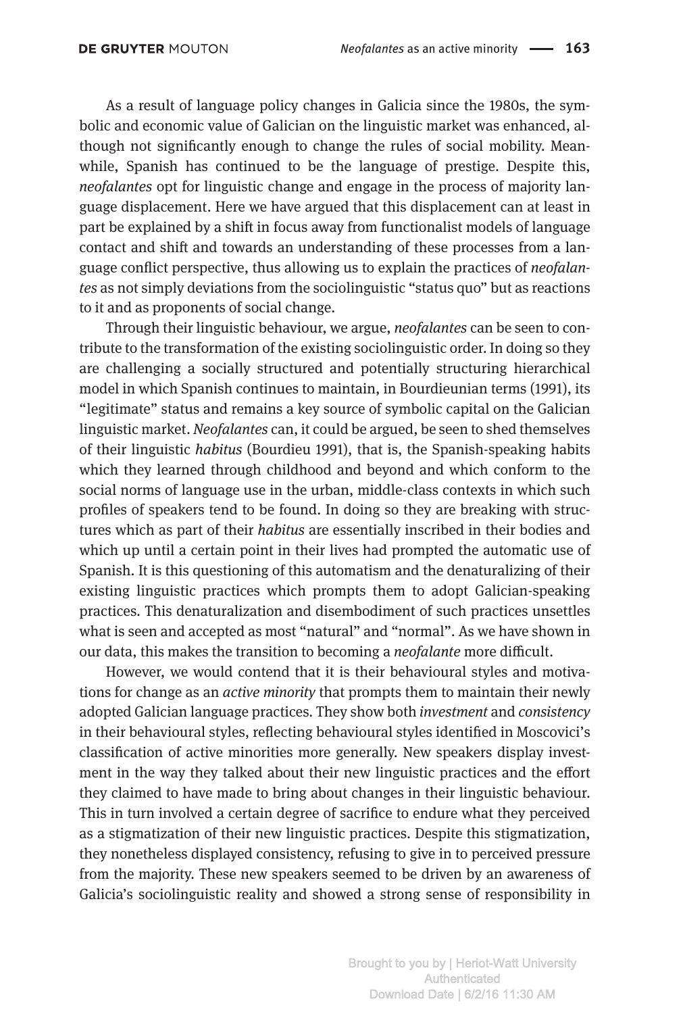As a result of language policy changes in Galicia since the 1980s, the symbolic and economic value of Galician on the linguistic market was enhanced, although not significantly enough to change the rules of social mobility. Meanwhile, Spanish has continued to be the language of prestige. Despite this, *neofalantes* opt for linguistic change and engage in the process of majority language displacement. Here we have argued that this displacement can at least in part be explained by a shift in focus away from functionalist models of language contact and shift and towards an understanding of these processes from a language conflict perspective, thus allowing us to explain the practices of *neofalantes* as not simply deviations from the sociolinguistic "status quo" but as reactions to it and as proponents of social change.

Through their linguistic behaviour, we argue, *neofalantes* can be seen to contribute to the transformation of the existing sociolinguistic order. In doing so they are challenging a socially structured and potentially structuring hierarchical model in which Spanish continues to maintain, in Bourdieunian terms (1991), its "legitimate" status and remains a key source of symbolic capital on the Galician linguistic market. *Neofalantes* can, it could be argued, be seen to shed themselves of their linguistic *habitus* (Bourdieu 1991), that is, the Spanish-speaking habits which they learned through childhood and beyond and which conform to the social norms of language use in the urban, middle-class contexts in which such profiles of speakers tend to be found. In doing so they are breaking with structures which as part of their *habitus* are essentially inscribed in their bodies and which up until a certain point in their lives had prompted the automatic use of Spanish. It is this questioning of this automatism and the denaturalizing of their existing linguistic practices which prompts them to adopt Galician-speaking practices. This denaturalization and disembodiment of such practices unsettles what is seen and accepted as most "natural" and "normal". As we have shown in our data, this makes the transition to becoming a *neofalante* more difficult.

However, we would contend that it is their behavioural styles and motivations for change as an *active minority* that prompts them to maintain their newly adopted Galician language practices. They show both *investment* and *consistency*  in their behavioural styles, reflecting behavioural styles identified in Moscovici's classification of active minorities more generally. New speakers display investment in the way they talked about their new linguistic practices and the effort they claimed to have made to bring about changes in their linguistic behaviour. This in turn involved a certain degree of sacrifice to endure what they perceived as a stigmatization of their new linguistic practices. Despite this stigmatization, they nonetheless displayed consistency, refusing to give in to perceived pressure from the majority. These new speakers seemed to be driven by an awareness of Galicia's sociolinguistic reality and showed a strong sense of responsibility in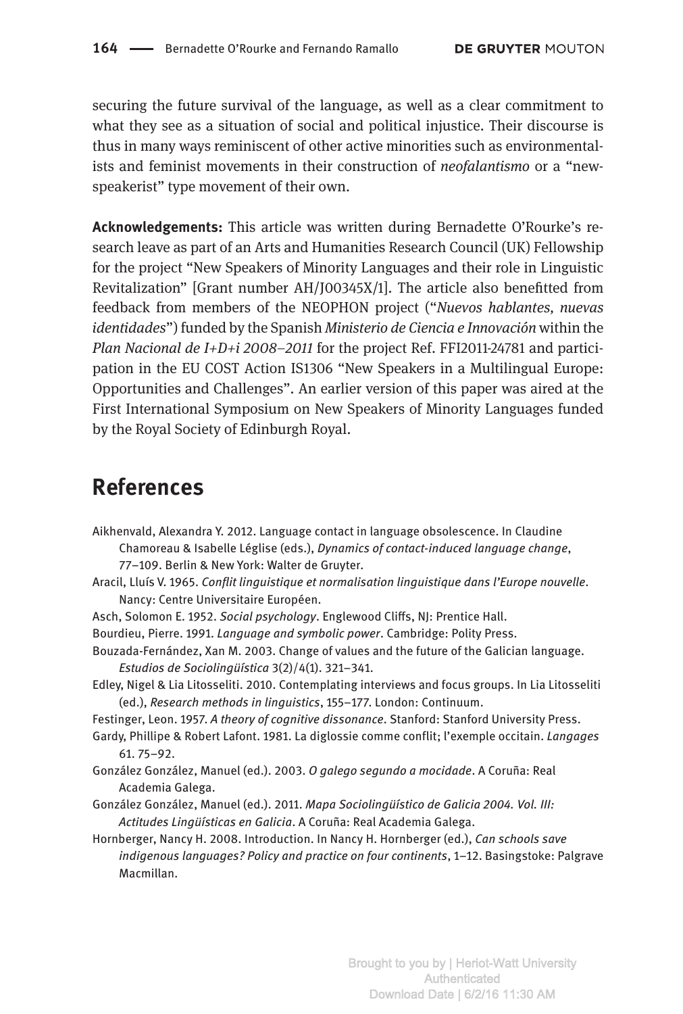securing the future survival of the language, as well as a clear commitment to what they see as a situation of social and political injustice. Their discourse is thus in many ways reminiscent of other active minorities such as environmentalists and feminist movements in their construction of *neofalantismo* or a "newspeakerist" type movement of their own.

**Acknowledgements:** This article was written during Bernadette O'Rourke's research leave as part of an Arts and Humanities Research Council (UK) Fellowship for the project "New Speakers of Minority Languages and their role in Linguistic Revitalization" [Grant number AH/J00345X/1]. The article also benefitted from feedback from members of the NEOPHON project ("*Nuevos hablantes, nuevas identidades*") funded by the Spanish *Ministerio de Ciencia e Innovación* within the *Plan Nacional de I+D+i 2008–2011* for the project Ref. FFI2011-24781 and participation in the EU COST Action IS1306 "New Speakers in a Multilingual Europe: Opportunities and Challenges". An earlier version of this paper was aired at the First International Symposium on New Speakers of Minority Languages funded by the Royal Society of Edinburgh Royal.

### **References**

Aikhenvald, Alexandra Y. 2012. Language contact in language obsolescence. In Claudine Chamoreau & Isabelle Léglise (eds.), *Dynamics of contact-induced language change*, 77–109. Berlin & New York: Walter de Gruyter.

- Aracil, Lluís V. 1965. *Conflit linguistique et normalisation linguistique dans l'Europe nouvelle*. Nancy: Centre Universitaire Européen.
- Asch, Solomon E. 1952. *Social psychology*. Englewood Cliffs, NJ: Prentice Hall.
- Bourdieu, Pierre. 1991. *Language and symbolic power*. Cambridge: Polity Press.
- Bouzada-Fernández, Xan M. 2003. Change of values and the future of the Galician language. *Estudios de Sociolingüística* 3(2)/4(1). 321–341.
- Edley, Nigel & Lia Litosseliti. 2010. Contemplating interviews and focus groups. In Lia Litosseliti (ed.), *Research methods in linguistics*, 155–177. London: Continuum.
- Festinger, Leon. 1957. *A theory of cognitive dissonance*. Stanford: Stanford University Press.
- Gardy, Phillipe & Robert Lafont. 1981. La diglossie comme conflit; l'exemple occitain. *Langages* 61. 75–92.
- González González, Manuel (ed.). 2003. *O galego segundo a mocidade*. A Coruña: Real Academia Galega.
- González González, Manuel (ed.). 2011. *Mapa Sociolingüístico de Galicia 2004. Vol. III: Actitudes Lingüísticas en Galicia*. A Coruña: Real Academia Galega.
- Hornberger, Nancy H. 2008. Introduction. In Nancy H. Hornberger (ed.), *Can schools save indigenous languages? Policy and practice on four continents*, 1–12. Basingstoke: Palgrave Macmillan.